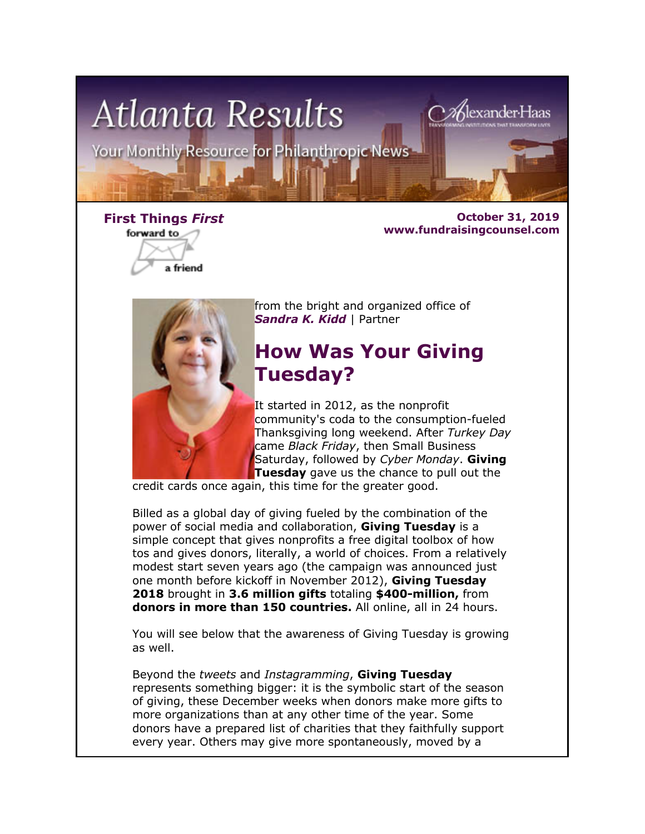

forward to

a friend

**First Things** *First* **October 31, 2019 www.fundraisingcounsel.com**



from the bright and organized office of *Sandra K. Kidd* | Partner

# **How Was Your Giving Tuesday?**

It started in 2012, as the nonprofit community's coda to the consumption-fueled Thanksgiving long weekend. After *Turkey Day* came *Black Friday*, then Small Business Saturday, followed by *Cyber Monday*. **Giving Tuesday** gave us the chance to pull out the

credit cards once again, this time for the greater good.

Billed as a global day of giving fueled by the combination of the power of social media and collaboration, **Giving Tuesday** is a simple concept that gives nonprofits a free digital toolbox of how tos and gives donors, literally, a world of choices. From a relatively modest start seven years ago (the campaign was announced just one month before kickoff in November 2012), **Giving Tuesday 2018** brought in **3.6 million gifts** totaling **\$400-million,** from **donors in more than 150 countries.** All online, all in 24 hours.

You will see below that the awareness of Giving Tuesday is growing as well.

Beyond the *tweets* and *Instagramming*, **Giving Tuesday** represents something bigger: it is the symbolic start of the season of giving, these December weeks when donors make more gifts to more organizations than at any other time of the year. Some donors have a prepared list of charities that they faithfully support every year. Others may give more spontaneously, moved by a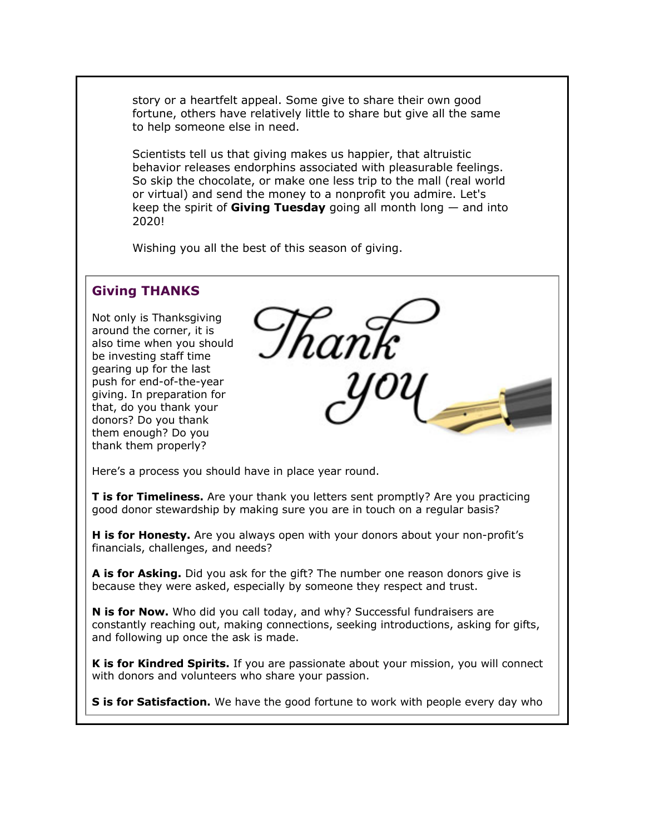story or a heartfelt appeal. Some give to share their own good fortune, others have relatively little to share but give all the same to help someone else in need.

Scientists tell us that giving makes us happier, that altruistic behavior releases endorphins associated with pleasurable feelings. So skip the chocolate, or make one less trip to the mall (real world or virtual) and send the money to a nonprofit you admire. Let's keep the spirit of **Giving Tuesday** going all month long — and into 2020!

Wishing you all the best of this season of giving.

## **Giving THANKS**

Not only is Thanksgiving around the corner, it is also time when you should be investing staff time gearing up for the last push for end-of-the-year giving. In preparation for that, do you thank your donors? Do you thank them enough? Do you thank them properly?

Here's a process you should have in place year round.

**T is for Timeliness.** Are your thank you letters sent promptly? Are you practicing good donor stewardship by making sure you are in touch on a regular basis?

**H is for Honesty.** Are you always open with your donors about your non-profit's financials, challenges, and needs?

**A is for Asking.** Did you ask for the gift? The number one reason donors give is because they were asked, especially by someone they respect and trust.

**N is for Now.** Who did you call today, and why? Successful fundraisers are constantly reaching out, making connections, seeking introductions, asking for gifts, and following up once the ask is made.

**K is for Kindred Spirits.** If you are passionate about your mission, you will connect with donors and volunteers who share your passion.

**S is for Satisfaction.** We have the good fortune to work with people every day who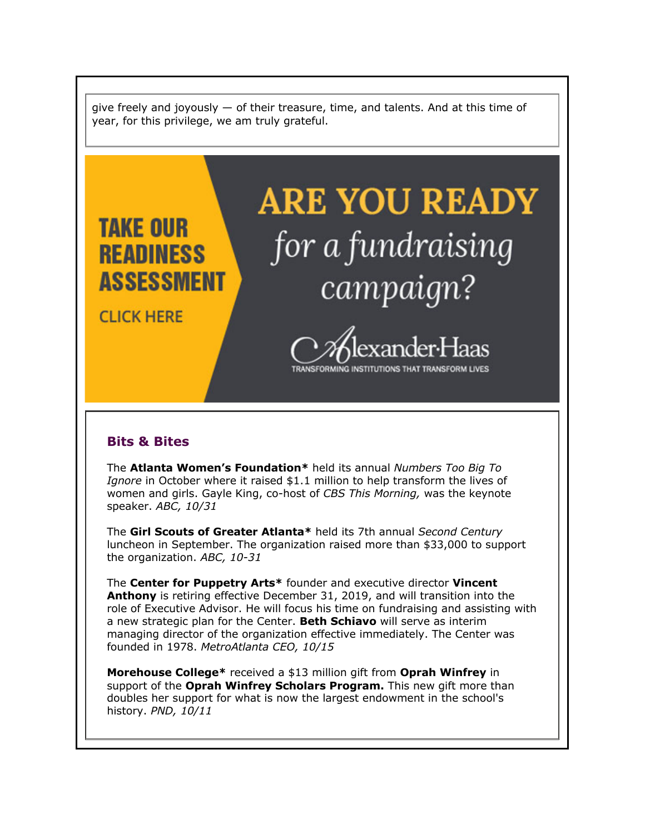give freely and joyously — of their treasure, time, and talents. And at this time of year, for this privilege, we am truly grateful.



## **Bits & Bites**

The **Atlanta Women's Foundation\*** held its annual *Numbers Too Big To Ignore* in October where it raised \$1.1 million to help transform the lives of women and girls. Gayle King, co-host of *CBS This Morning,* was the keynote speaker. *ABC, 10/31*

The **Girl Scouts of Greater Atlanta\*** held its 7th annual *Second Century* luncheon in September. The organization raised more than \$33,000 to support the organization. *ABC, 10-31*

The **Center for Puppetry Arts\*** founder and executive director **Vincent Anthony** is retiring effective December 31, 2019, and will transition into the role of Executive Advisor. He will focus his time on fundraising and assisting with a new strategic plan for the Center. **Beth Schiavo** will serve as interim managing director of the organization effective immediately. The Center was founded in 1978. *MetroAtlanta CEO, 10/15*

**Morehouse College\*** received a \$13 million gift from **Oprah Winfrey** in support of the **Oprah Winfrey Scholars Program.** This new gift more than doubles her support for what is now the largest endowment in the school's history. *PND, 10/11*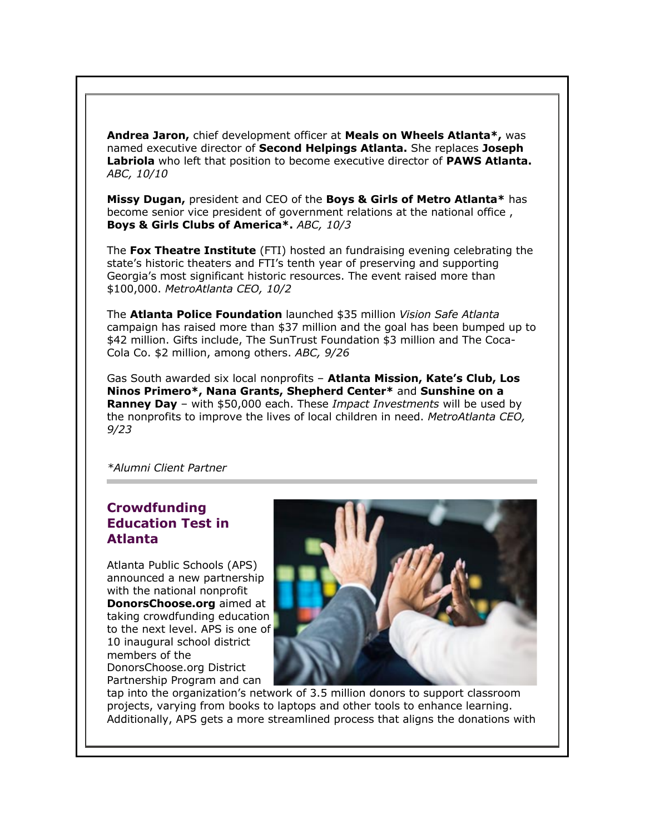**Andrea Jaron,** chief development officer at **Meals on Wheels Atlanta\*,** was named executive director of **Second Helpings Atlanta.** She replaces **Joseph Labriola** who left that position to become executive director of **PAWS Atlanta.** *ABC, 10/10*

**Missy Dugan,** president and CEO of the **Boys & Girls of Metro Atlanta\*** has become senior vice president of government relations at the national office , **Boys & Girls Clubs of America\*.** *ABC, 10/3*

The **Fox Theatre Institute** (FTI) hosted an fundraising evening celebrating the state's historic theaters and FTI's tenth year of preserving and supporting Georgia's most significant historic resources. The event raised more than \$100,000. *MetroAtlanta CEO, 10/2*

The **Atlanta Police Foundation** launched \$35 million *Vision Safe Atlanta* campaign has raised more than \$37 million and the goal has been bumped up to \$42 million. Gifts include, The SunTrust Foundation \$3 million and The Coca-Cola Co. \$2 million, among others. *ABC, 9/26*

Gas South awarded six local nonprofits – **Atlanta Mission, Kate's Club, Los Ninos Primero\*, Nana Grants, Shepherd Center\*** and **Sunshine on a Ranney Day** – with \$50,000 each. These *Impact Investments* will be used by the nonprofits to improve the lives of local children in need. *MetroAtlanta CEO, 9/23*

*\*Alumni Client Partner*

# **Crowdfunding Education Test in Atlanta**

Atlanta Public Schools (APS) announced a new partnership with the national nonprofit **DonorsChoose.org** aimed at taking crowdfunding education to the next level. APS is one of 10 inaugural school district members of the DonorsChoose.org District Partnership Program and can



tap into the organization's network of 3.5 million donors to support classroom projects, varying from books to laptops and other tools to enhance learning. Additionally, APS gets a more streamlined process that aligns the donations with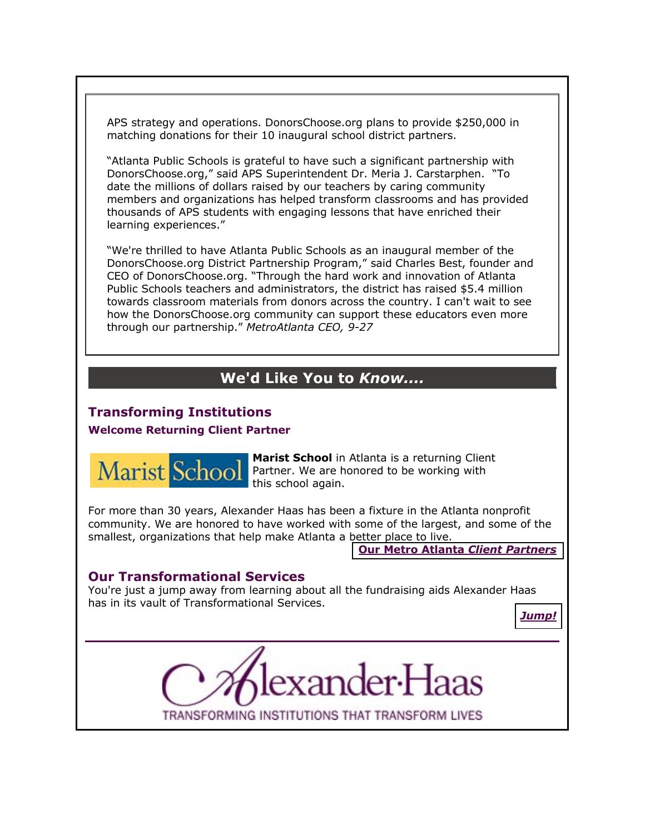APS strategy and operations. DonorsChoose.org plans to provide \$250,000 in matching donations for their 10 inaugural school district partners.

"Atlanta Public Schools is grateful to have such a significant partnership with DonorsChoose.org," said APS Superintendent Dr. Meria J. Carstarphen. "To date the millions of dollars raised by our teachers by caring community members and organizations has helped transform classrooms and has provided thousands of APS students with engaging lessons that have enriched their learning experiences."

"We're thrilled to have Atlanta Public Schools as an inaugural member of the DonorsChoose.org District Partnership Program," said Charles Best, founder and CEO of DonorsChoose.org. "Through the hard work and innovation of Atlanta Public Schools teachers and administrators, the district has raised \$5.4 million towards classroom materials from donors across the country. I can't wait to see how the DonorsChoose.org community can support these educators even more through our partnership." *MetroAtlanta CEO, 9-27*

# **We'd Like You to** *Know....*

# **Transforming Institutions**

### **Welcome Returning Client Partner**



**Marist School** in Atlanta is a returning Client Partner. We are honored to be working with this school again.

For more than 30 years, Alexander Haas has been a fixture in the Atlanta nonprofit community. We are honored to have worked with some of the largest, and some of the smallest, organizations that help make Atlanta a better place to live.

**[Our Metro Atlanta](http://fundraisingcounsel.com/our-clients/)** *Client Partners*

### **Our Transformational Services**

You're just a jump away from learning about all the fundraising aids Alexander Haas has in its vault of Transformational Services.

*[Jump!](http://fundraisingcounsel.com/services/)*



TRANSFORMING INSTITUTIONS THAT TRANSFORM LIVES